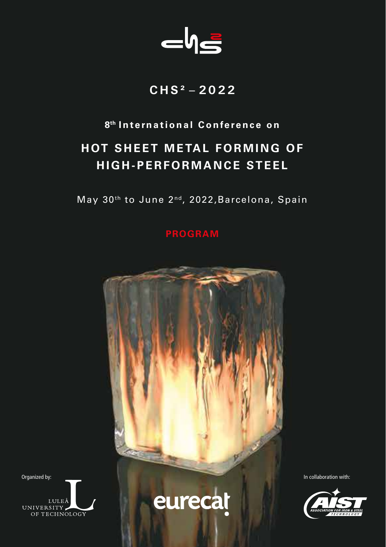

## **CHS² – 2022**

### **8th International Conference on**

# **HOT SHEET METAL FORMING OF HIGH-PERFORMANCE STEEL**

May 30<sup>th</sup> to June 2<sup>nd</sup>, 2022, Barcelona, Spain



eurecat



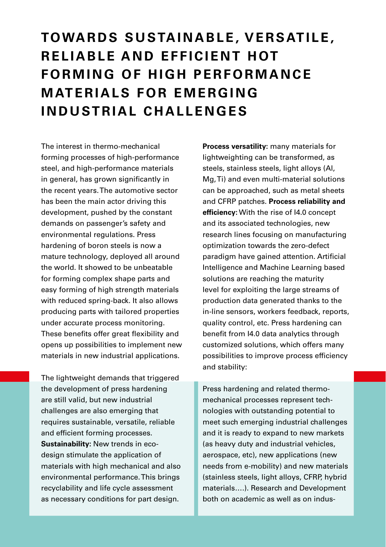# TOWARDS SUSTAINABLE, VERSATILE, **REI IARI E AND FFFICIENT HOT FORMING OF HIGH PERFORMANCE MATERIALS FOR EMERGING INDUSTRIAL CHALLENGES**

The interest in thermo-mechanical forming processes of high-performance steel, and high-performance materials in general, has grown significantly in the recent years. The automotive sector has been the main actor driving this development, pushed by the constant demands on passenger's safety and environmental regulations. Press hardening of boron steels is now a mature technology, deployed all around the world. It showed to be unbeatable for forming complex shape parts and easy forming of high strength materials with reduced spring-back. It also allows producing parts with tailored properties under accurate process monitoring. These benefits offer great flexibility and opens up possibilities to implement new materials in new industrial applications.

The lightweight demands that triggered the development of press hardening are still valid, but new industrial challenges are also emerging that requires sustainable, versatile, reliable and efficient forming processes. **Sustainability:** New trends in ecodesign stimulate the application of materials with high mechanical and also environmental performance. This brings recyclability and life cycle assessment as necessary conditions for part design.

**Process versatility:** many materials for lightweighting can be transformed, as steels, stainless steels, light alloys (Al, Mg, Ti) and even multi-material solutions can be approached, such as metal sheets and CFRP patches. **Process reliability and efficiency:** With the rise of I4.0 concept and its associated technologies, new research lines focusing on manufacturing optimization towards the zero-defect paradigm have gained attention. Artificial Intelligence and Machine Learning based solutions are reaching the maturity level for exploiting the large streams of production data generated thanks to the in-line sensors, workers feedback, reports, quality control, etc. Press hardening can benefit from I4.0 data analytics through customized solutions, which offers many possibilities to improve process efficiency and stability:

Press hardening and related thermomechanical processes represent technologies with outstanding potential to meet such emerging industrial challenges and it is ready to expand to new markets (as heavy duty and industrial vehicles, aerospace, etc), new applications (new needs from e-mobility) and new materials (stainless steels, light alloys, CFRP, hybrid materials….). Research and Development both on academic as well as on indus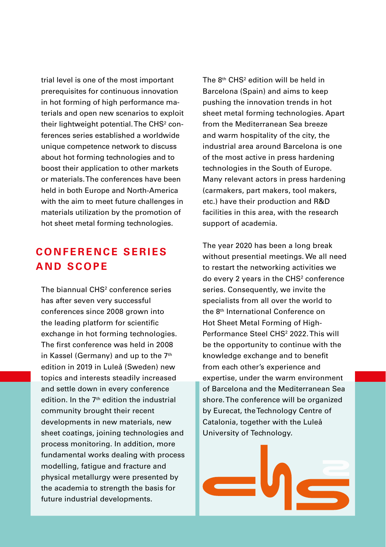trial level is one of the most important prerequisites for continuous innovation in hot forming of high performance materials and open new scenarios to exploit their lightweight potential. The  ${\sf CHS^2}$  conferences series established a worldwide unique competence network to discuss about hot forming technologies and to boost their application to other markets or materials. The conferences have been held in both Europe and North-America with the aim to meet future challenges in materials utilization by the promotion of hot sheet metal forming technologies.

### **C O N F E R E N C E S E R I E S AND SCOPE**

The biannual CHS<sup>2</sup> conference series has after seven very successful conferences since 2008 grown into the leading platform for scientific exchange in hot forming technologies. The first conference was held in 2008 in Kassel (Germany) and up to the 7<sup>th</sup> edition in 2019 in Luleå (Sweden) new topics and interests steadily increased and settle down in every conference edition. In the 7<sup>th</sup> edition the industrial community brought their recent developments in new materials, new sheet coatings, joining technologies and process monitoring. In addition, more fundamental works dealing with process modelling, fatigue and fracture and physical metallurgy were presented by the academia to strength the basis for future industrial developments.

The  $8<sup>th</sup>$  CHS<sup>2</sup> edition will be held in Barcelona (Spain) and aims to keep pushing the innovation trends in hot sheet metal forming technologies. Apart from the Mediterranean Sea breeze and warm hospitality of the city, the industrial area around Barcelona is one of the most active in press hardening technologies in the South of Europe. Many relevant actors in press hardening (carmakers, part makers, tool makers, etc.) have their production and R&D facilities in this area, with the research support of academia.

The year 2020 has been a long break without presential meetings. We all need to restart the networking activities we do every 2 years in the CHS<sup>2</sup> conference series. Consequently, we invite the specialists from all over the world to the 8th International Conference on Hot Sheet Metal Forming of High-Performance Steel CHS2 2022. This will be the opportunity to continue with the knowledge exchange and to benefit from each other's experience and expertise, under the warm environment of Barcelona and the Mediterranean Sea shore. The conference will be organized by Eurecat, the Technology Centre of Catalonia, together with the Luleå University of Technology.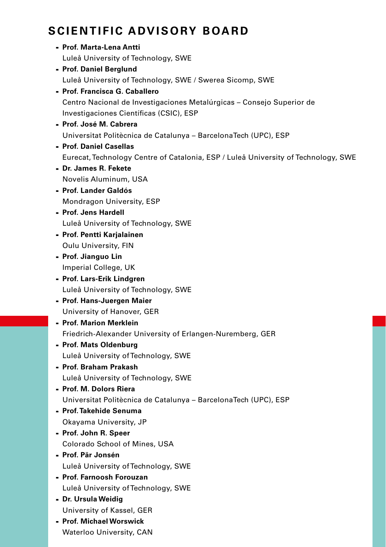## **SCIENTIFIC ADVISORY BOARD**

**- Prof. Marta-Lena Antti**  Luleå University of Technology, SWE **- Prof. Daniel Berglund** Luleå University of Technology, SWE / Swerea Sicomp, SWE **- Prof. Francisca G. Caballero** Centro Nacional de Investigaciones Metalúrgicas – Consejo Superior de Investigaciones Científicas (CSIC), ESP **- Prof. José M. Cabrera**  Universitat Politècnica de Catalunya – BarcelonaTech (UPC), ESP **- Prof. Daniel Casellas** Eurecat, Technology Centre of Catalonia, ESP / Luleå University of Technology, SWE **- Dr. James R. Fekete** Novelis Aluminum, USA **- Prof. Lander Galdós** Mondragon University, ESP **- Prof. Jens Hardell** Luleå University of Technology, SWE **- Prof. Pentti Karjalainen** Oulu University, FIN **- Prof. Jianguo Lin** Imperial College, UK **- Prof. Lars-Erik Lindgren** Luleå University of Technology, SWE **- Prof. Hans-Juergen Maier** University of Hanover, GER **- Prof. Marion Merklein** Friedrich-Alexander University of Erlangen-Nuremberg, GER **- Prof. Mats Oldenburg** Luleå University of Technology, SWE **- Prof. Braham Prakash** Luleå University of Technology, SWE **- Prof. M. Dolors Riera**  Universitat Politècnica de Catalunya – BarcelonaTech (UPC), ESP **- Prof. Takehide Senuma** Okayama University, JP **- Prof. John R. Speer** Colorado School of Mines, USA **- Prof. Pär Jonsén** Luleå University of Technology, SWE **- Prof. Farnoosh Forouzan** Luleå University of Technology, SWE **- Dr. Ursula Weidig** University of Kassel, GER **- Prof. Michael Worswick** Waterloo University, CAN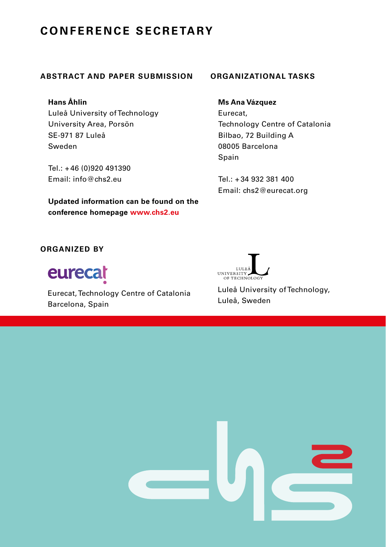## **CONFERENCE SECRETARY**

#### **ABSTRACT AND PAPER SUBMISSION**

#### **Hans Åhlin**

Luleå University of Technology University Area, Porsön SE-971 87 Luleå Sweden

Tel.: + 46 (0)920 491390 Email: info@chs2.eu

**Updated information can be found on the conference homepage www.chs2.eu**

#### **ORGANIZATIONAL TASKS**

#### **Ms Ana Vázquez**

Eurecat, Technology Centre of Catalonia Bilbao, 72 Building A 08005 Barcelona Spain

Tel.: + 34 932 381 400 Email: chs2@eurecat.org

#### **ORGANIZED BY**

eurecat

Eurecat, Technology Centre of Catalonia Barcelona, Spain



Luleå University of Technology, Luleå, Sweden

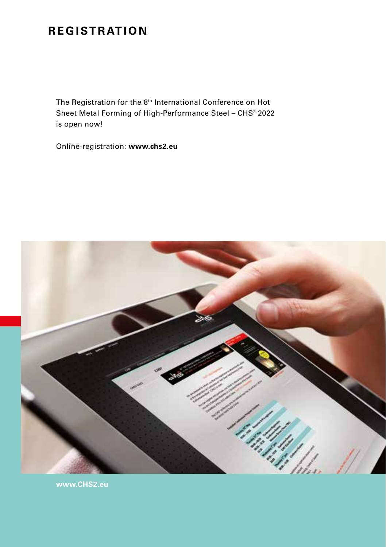## **REGISTRATION**

The Registration for the 8th International Conference on Hot Sheet Metal Forming of High-Performance Steel – CHS2 2022 is open now!

Online-registration: **www.chs2.eu**

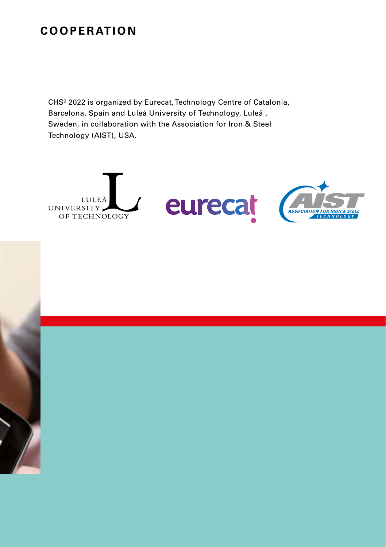## **COOPERATION**

CHS² 2022 is organized by Eurecat, Technology Centre of Catalonia, Barcelona, Spain and Luleå University of Technology, Luleå , Sweden, in collaboration with the Association for Iron & Steel Technology (AIST), USA.



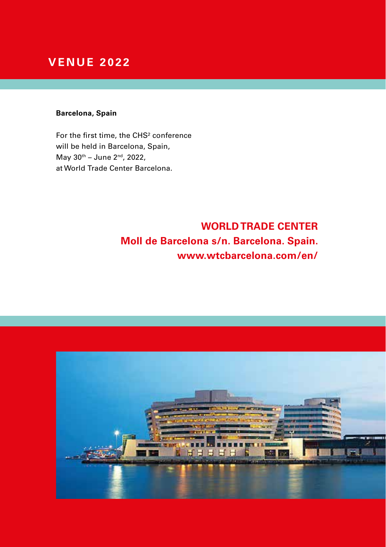### **VENUE 2022**

#### **Barcelona, Spain**

For the first time, the CHS² conference will be held in Barcelona, Spain, May 30th – June 2nd, 2022, at World Trade Center Barcelona.

## **WORLD TRADE CENTER Moll de Barcelona s/n. Barcelona. Spain. www.wtcbarcelona.com/en/**

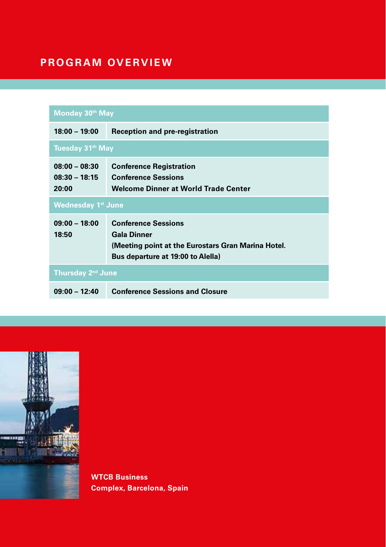### **PROGRAM OVERVIEW**

| Monday 30th May                             |                                                                                                                                              |  |
|---------------------------------------------|----------------------------------------------------------------------------------------------------------------------------------------------|--|
| $18:00 - 19:00$                             | <b>Reception and pre-registration</b>                                                                                                        |  |
| Tuesday 31th May                            |                                                                                                                                              |  |
| $08:00 - 08:30$<br>$08:30 - 18:15$<br>20:00 | <b>Conference Registration</b><br><b>Conference Sessions</b><br><b>Welcome Dinner at World Trade Center</b>                                  |  |
| <b>Wednesday 1st June</b>                   |                                                                                                                                              |  |
| $09:00 - 18:00$<br>18:50                    | <b>Conference Sessions</b><br><b>Gala Dinner</b><br>(Meeting point at the Eurostars Gran Marina Hotel.)<br>Bus departure at 19:00 to Alella) |  |
| Thursday 2 <sup>nd</sup> June               |                                                                                                                                              |  |
| $09:00 - 12:40$                             | <b>Conference Sessions and Closure</b>                                                                                                       |  |



**WTCB Business Complex, Barcelona, Spain**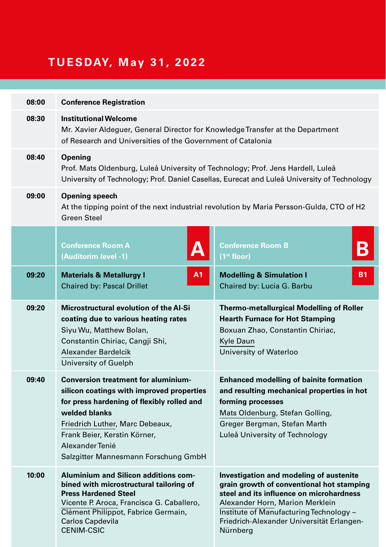| 08:00 | <b>Conference Registration</b>                                                                                                                                                                                                                                                       |                                                                                                                                                                                                                                                                         |
|-------|--------------------------------------------------------------------------------------------------------------------------------------------------------------------------------------------------------------------------------------------------------------------------------------|-------------------------------------------------------------------------------------------------------------------------------------------------------------------------------------------------------------------------------------------------------------------------|
| 08:30 | <b>Institutional Welcome</b><br>Mr. Xavier Aldeguer, General Director for Knowledge Transfer at the Department<br>of Research and Universities of the Government of Catalonia                                                                                                        |                                                                                                                                                                                                                                                                         |
| 08:40 | Opening<br>Prof. Mats Oldenburg, Luleå University of Technology; Prof. Jens Hardell, Luleå<br>University of Technology; Prof. Daniel Casellas, Eurecat and Luleå University of Technology                                                                                            |                                                                                                                                                                                                                                                                         |
| 09:00 | <b>Opening speech</b><br>At the tipping point of the next industrial revolution by Maria Persson-Gulda, CTO of H2<br>Green Steel                                                                                                                                                     |                                                                                                                                                                                                                                                                         |
|       | <b>Conference Room A</b><br>(Auditorim level -1)                                                                                                                                                                                                                                     | <b>Conference Room B</b><br>(1 <sup>st</sup> floor)                                                                                                                                                                                                                     |
| 09:20 | А1<br><b>Materials &amp; Metallurgy I</b><br><b>Chaired by: Pascal Drillet</b>                                                                                                                                                                                                       | <b>Modelling &amp; Simulation I</b><br><b>B1</b><br>Chaired by: Lucia G. Barbu                                                                                                                                                                                          |
| 09:20 | Microstructural evolution of the Al-Si<br>coating due to various heating rates<br>Siyu Wu, Matthew Bolan,<br>Constantin Chiriac, Cangji Shi,<br>Alexander Bardelcik<br>University of Guelph                                                                                          | <b>Thermo-metallurgical Modelling of Roller</b><br><b>Hearth Furnace for Hot Stamping</b><br>Boxuan Zhao, Constantin Chiriac,<br>Kyle Daun<br>University of Waterloo                                                                                                    |
| 09:40 | <b>Conversion treatment for aluminium-</b><br>silicon coatings with improved properties<br>for press hardening of flexibly rolled and<br>welded blanks<br>Friedrich Luther, Marc Debeaux,<br>Frank Beier, Kerstin Körner,<br>Alexander Tenié<br>Salzgitter Mannesmann Forschung GmbH | <b>Enhanced modelling of bainite formation</b><br>and resulting mechanical properties in hot<br>forming processes<br>Mats Oldenburg, Stefan Golling,<br>Greger Bergman, Stefan Marth<br>Luleå University of Technology                                                  |
| 10:00 | Aluminium and Silicon additions com-<br>bined with microstructural tailoring of<br><b>Press Hardened Steel</b><br>Vicente P. Aroca, Francisca G. Caballero,<br>Clément Philippot, Fabrice Germain,<br>Carlos Capdevila<br><b>CENIM-CSIC</b>                                          | Investigation and modeling of austenite<br>grain growth of conventional hot stamping<br>steel and its influence on microhardness<br>Alexander Horn, Marion Merklein<br>Institute of Manufacturing Technology -<br>Friedrich-Alexander Universität Erlangen-<br>Nürnberg |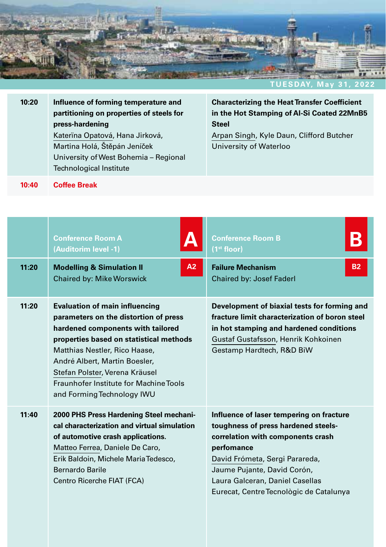

| 10:20 | Influence of forming temperature and<br>partitioning on properties of steels for<br>press-hardening<br>Katerïna Opatová, Hana Jirková,<br>Martina Holá, Štěpán Jeníček<br>University of West Bohemia - Regional<br>Technological Institute | <b>Characterizing the Heat Transfer Coefficient</b><br>in the Hot Stamping of Al-Si Coated 22MnB5<br><b>Steel</b><br>Arpan Singh, Kyle Daun, Clifford Butcher<br>University of Waterloo |
|-------|--------------------------------------------------------------------------------------------------------------------------------------------------------------------------------------------------------------------------------------------|-----------------------------------------------------------------------------------------------------------------------------------------------------------------------------------------|
| 10:40 | <b>Coffee Break</b>                                                                                                                                                                                                                        |                                                                                                                                                                                         |

|       | <b>Conference Room A</b><br>(Auditorim level -1)                                                                                                                                                                                                                                                                                           | <b>Conference Room B</b><br>(1 <sup>st</sup> floor)                                                                                                                                                                                                                               |
|-------|--------------------------------------------------------------------------------------------------------------------------------------------------------------------------------------------------------------------------------------------------------------------------------------------------------------------------------------------|-----------------------------------------------------------------------------------------------------------------------------------------------------------------------------------------------------------------------------------------------------------------------------------|
| 11:20 | A2<br><b>Modelling &amp; Simulation II</b><br><b>Chaired by: Mike Worswick</b>                                                                                                                                                                                                                                                             | <b>B2</b><br><b>Failure Mechanism</b><br><b>Chaired by: Josef Faderl</b>                                                                                                                                                                                                          |
| 11:20 | <b>Evaluation of main influencing</b><br>parameters on the distortion of press<br>hardened components with tailored<br>properties based on statistical methods<br>Matthias Nestler, Rico Haase,<br>André Albert, Martin Boesler,<br>Stefan Polster, Verena Kräusel<br>Fraunhofer Institute for Machine Tools<br>and Forming Technology IWU | Development of biaxial tests for forming and<br>fracture limit characterization of boron steel<br>in hot stamping and hardened conditions<br>Gustaf Gustafsson, Henrik Kohkoinen<br>Gestamp Hardtech, R&D BiW                                                                     |
| 11:40 | 2000 PHS Press Hardening Steel mechani-<br>cal characterization and virtual simulation<br>of automotive crash applications.<br>Matteo Ferrea, Daniele De Caro,<br>Erik Baldoin, Michele Maria Tedesco,<br>Bernardo Barile<br>Centro Ricerche FIAT (FCA)                                                                                    | Influence of laser tempering on fracture<br>toughness of press hardened steels-<br>correlation with components crash<br>perfomance<br>David Frómeta, Sergi Parareda,<br>Jaume Pujante, David Corón,<br>Laura Galceran, Daniel Casellas<br>Eurecat, Centre Tecnològic de Catalunya |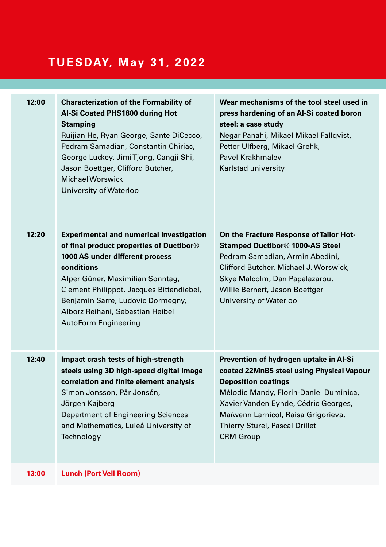| 12:00 | <b>Characterization of the Formability of</b><br>Al-Si Coated PHS1800 during Hot<br><b>Stamping</b><br>Ruijian He, Ryan George, Sante DiCecco,<br>Pedram Samadian, Constantin Chiriac,<br>George Luckey, Jimi Tjong, Cangji Shi,<br>Jason Boettger, Clifford Butcher,<br>Michael Worswick<br>University of Waterloo           | Wear mechanisms of the tool steel used in<br>press hardening of an Al-Si coated boron<br>steel: a case study<br>Negar Panahi, Mikael Mikael Fallqvist,<br>Petter Ulfberg, Mikael Grehk,<br>Pavel Krakhmalev<br>Karlstad university                                                               |
|-------|-------------------------------------------------------------------------------------------------------------------------------------------------------------------------------------------------------------------------------------------------------------------------------------------------------------------------------|--------------------------------------------------------------------------------------------------------------------------------------------------------------------------------------------------------------------------------------------------------------------------------------------------|
| 12:20 | <b>Experimental and numerical investigation</b><br>of final product properties of Ductibor®<br>1000 AS under different process<br>conditions<br>Alper Güner, Maximilian Sonntag,<br>Clement Philippot, Jacques Bittendiebel,<br>Benjamin Sarre, Ludovic Dormegny,<br>Alborz Reihani, Sebastian Heibel<br>AutoForm Engineering | On the Fracture Response of Tailor Hot-<br><b>Stamped Ductibor® 1000-AS Steel</b><br>Pedram Samadian, Armin Abedini,<br>Clifford Butcher, Michael J. Worswick,<br>Skye Malcolm, Dan Papalazarou,<br>Willie Bernert, Jason Boettger<br>University of Waterloo                                     |
| 12:40 | Impact crash tests of high-strength<br>steels using 3D high-speed digital image<br>correlation and finite element analysis<br>Simon Jonsson, Pär Jonsén,<br>Jörgen Kajberg<br>Department of Engineering Sciences<br>and Mathematics, Luleå University of<br>Technology                                                        | Prevention of hydrogen uptake in Al-Si<br>coated 22MnB5 steel using Physical Vapour<br><b>Deposition coatings</b><br>Mélodie Mandy, Florin-Daniel Duminica,<br>Xavier Vanden Eynde, Cédric Georges,<br>Maïwenn Larnicol, Raisa Grigorieva,<br>Thierry Sturel, Pascal Drillet<br><b>CRM Group</b> |
| 13:00 | <b>Lunch (Port Vell Room)</b>                                                                                                                                                                                                                                                                                                 |                                                                                                                                                                                                                                                                                                  |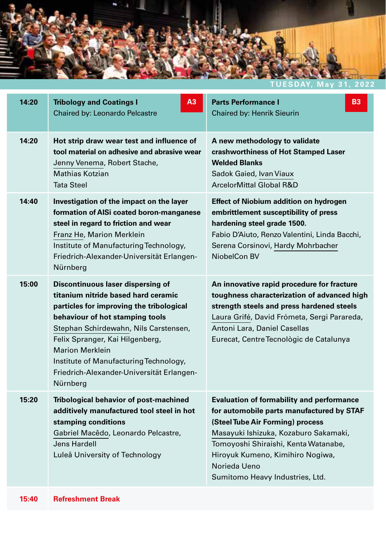| 14:20 | A3<br><b>Tribology and Coatings I</b><br>Chaired by: Leonardo Pelcastre                                                                                                                                                                                                                                                                                          | <b>Parts Performance I</b><br>B3<br>Chaired by: Henrik Sieurin                                                                                                                                                                                                                                            |
|-------|------------------------------------------------------------------------------------------------------------------------------------------------------------------------------------------------------------------------------------------------------------------------------------------------------------------------------------------------------------------|-----------------------------------------------------------------------------------------------------------------------------------------------------------------------------------------------------------------------------------------------------------------------------------------------------------|
| 14:20 | Hot strip draw wear test and influence of<br>tool material on adhesive and abrasive wear<br>Jenny Venema, Robert Stache,<br><b>Mathias Kotzian</b><br><b>Tata Steel</b>                                                                                                                                                                                          | A new methodology to validate<br>crashworthiness of Hot Stamped Laser<br><b>Welded Blanks</b><br>Sadok Gaied, Ivan Viaux<br><b>ArcelorMittal Global R&amp;D</b>                                                                                                                                           |
| 14:40 | Investigation of the impact on the layer<br>formation of AISi coated boron-manganese<br>steel in regard to friction and wear<br>Franz He, Marion Merklein<br>Institute of Manufacturing Technology,<br>Friedrich-Alexander-Universität Erlangen-<br>Nürnberg                                                                                                     | <b>Effect of Niobium addition on hydrogen</b><br>embrittlement susceptibility of press<br>hardening steel grade 1500.<br>Fabio D'Aiuto, Renzo Valentini, Linda Bacchi,<br>Serena Corsinovi, Hardy Mohrbacher<br>NiobelCon BV                                                                              |
| 15:00 | Discontinuous laser dispersing of<br>titanium nitride based hard ceramic<br>particles for improving the tribological<br>behaviour of hot stamping tools<br>Stephan Schirdewahn, Nils Carstensen,<br>Felix Spranger, Kai Hilgenberg,<br><b>Marion Merklein</b><br>Institute of Manufacturing Technology,<br>Friedrich-Alexander-Universität Erlangen-<br>Nürnberg | An innovative rapid procedure for fracture<br>toughness characterization of advanced high<br>strength steels and press hardened steels<br>Laura Grifé, David Frómeta, Sergi Parareda,<br>Antoni Lara, Daniel Casellas<br>Eurecat, Centre Tecnològic de Catalunya                                          |
| 15:20 | Tribological behavior of post-machined<br>additively manufactured tool steel in hot<br>stamping conditions<br>Gabriel Macêdo, Leonardo Pelcastre,<br>Jens Hardell<br>Luleå University of Technology                                                                                                                                                              | <b>Evaluation of formability and performance</b><br>for automobile parts manufactured by STAF<br>(Steel Tube Air Forming) process<br>Masayuki Ishizuka, Kozaburo Sakamaki,<br>Tomoyoshi Shiraishi, Kenta Watanabe,<br>Hiroyuk Kumeno, Kimihiro Nogiwa,<br>Norieda Ueno<br>Sumitomo Heavy Industries, Ltd. |
|       |                                                                                                                                                                                                                                                                                                                                                                  |                                                                                                                                                                                                                                                                                                           |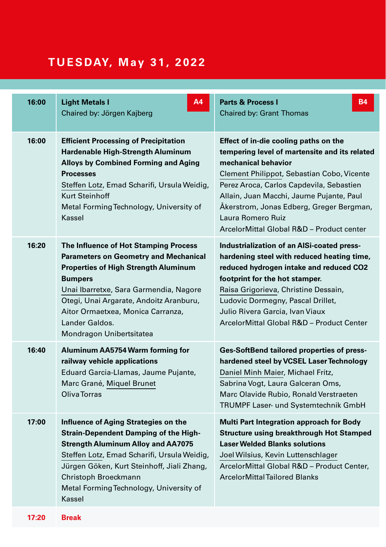| 16:00 | A4<br><b>Light Metals I</b><br>Chaired by: Jörgen Kajberg                                                                                                                                                                                                                                                                      | <b>B4</b><br><b>Parts &amp; Process I</b><br><b>Chaired by: Grant Thomas</b>                                                                                                                                                                                                                                                                                      |
|-------|--------------------------------------------------------------------------------------------------------------------------------------------------------------------------------------------------------------------------------------------------------------------------------------------------------------------------------|-------------------------------------------------------------------------------------------------------------------------------------------------------------------------------------------------------------------------------------------------------------------------------------------------------------------------------------------------------------------|
| 16:00 | <b>Efficient Processing of Precipitation</b><br>Hardenable High-Strength Aluminum<br><b>Alloys by Combined Forming and Aging</b><br><b>Processes</b><br>Steffen Lotz, Emad Scharifi, Ursula Weidig,<br>Kurt Steinhoff<br>Metal Forming Technology, University of<br>Kassel                                                     | Effect of in-die cooling paths on the<br>tempering level of martensite and its related<br>mechanical behavior<br>Clement Philippot, Sebastian Cobo, Vicente<br>Perez Aroca, Carlos Capdevila, Sebastien<br>Allain, Juan Macchi, Jaume Pujante, Paul<br>Åkerstrom, Jonas Edberg, Greger Bergman,<br>Laura Romero Ruiz<br>ArcelorMittal Global R&D - Product center |
| 16:20 | The Influence of Hot Stamping Process<br><b>Parameters on Geometry and Mechanical</b><br><b>Properties of High Strength Aluminum</b><br><b>Bumpers</b><br>Unai Ibarretxe, Sara Garmendia, Nagore<br>Otegi, Unai Argarate, Andoitz Aranburu,<br>Aitor Ormaetxea, Monica Carranza,<br>Lander Galdos.<br>Mondragon Unibertsitatea | Industrialization of an AISi-coated press-<br>hardening steel with reduced heating time,<br>reduced hydrogen intake and reduced CO2<br>footprint for the hot stamper.<br>Raisa Grigorieva, Christine Dessain,<br>Ludovic Dormegny, Pascal Drillet,<br>Julio Rivera Garcia, Ivan Viaux<br>ArcelorMittal Global R&D - Product Center                                |
| 16:40 | Aluminum AA5754 Warm forming for<br>railway vehicle applications<br>Eduard Garcia-Llamas, Jaume Pujante,<br>Marc Grané, Miquel Brunet<br>Oliva Torras                                                                                                                                                                          | Ges-SoftBend tailored properties of press-<br>hardened steel by VCSEL Laser Technology<br>Daniel Minh Maier, Michael Fritz,<br>Sabrina Vogt, Laura Galceran Oms,<br>Marc Olavide Rubio, Ronald Verstraeten<br>TRUMPF Laser- und Systemtechnik GmbH                                                                                                                |
| 17:00 | Influence of Aging Strategies on the<br><b>Strain-Dependent Damping of the High-</b><br><b>Strength Aluminum Alloy and AA7075</b><br>Steffen Lotz, Emad Scharifi, Ursula Weidig,<br>Jürgen Göken, Kurt Steinhoff, Jiali Zhang,<br>Christoph Broeckmann<br>Metal Forming Technology, University of<br>Kassel                    | Multi Part Integration approach for Body<br><b>Structure using breakthrough Hot Stamped</b><br><b>Laser Welded Blanks solutions</b><br>Joel Wilsius, Kevin Luttenschlager<br>ArcelorMittal Global R&D - Product Center,<br><b>ArcelorMittalTailored Blanks</b>                                                                                                    |
| 17:20 | Break                                                                                                                                                                                                                                                                                                                          |                                                                                                                                                                                                                                                                                                                                                                   |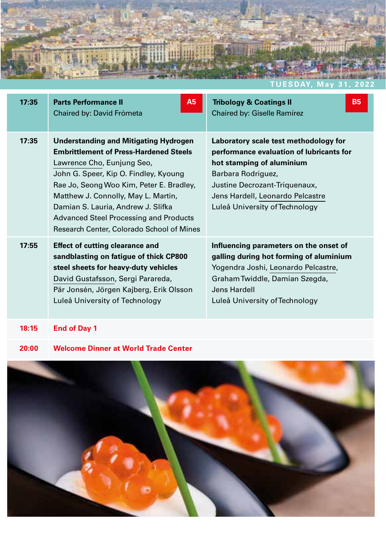

| 17:35 | A <sub>5</sub><br><b>Parts Performance II</b><br>Chaired by: David Frómeta                                                                                                                                                                                                                                                                                                           | <b>Tribology &amp; Coatings II</b><br><b>B5</b><br>Chaired by: Giselle Ramírez                                                                                                                                                              |
|-------|--------------------------------------------------------------------------------------------------------------------------------------------------------------------------------------------------------------------------------------------------------------------------------------------------------------------------------------------------------------------------------------|---------------------------------------------------------------------------------------------------------------------------------------------------------------------------------------------------------------------------------------------|
| 17:35 | <b>Understanding and Mitigating Hydrogen</b><br><b>Embrittlement of Press-Hardened Steels</b><br>Lawrence Cho, Eunjung Seo,<br>John G. Speer, Kip O. Findley, Kyoung<br>Rae Jo, Seong Woo Kim, Peter E. Bradley,<br>Matthew J. Connolly, May L. Martin,<br>Damian S. Lauria, Andrew J. Slifka<br>Advanced Steel Processing and Products<br>Research Center, Colorado School of Mines | Laboratory scale test methodology for<br>performance evaluation of lubricants for<br>hot stamping of aluminium<br>Barbara Rodriguez,<br>Justine Decrozant-Triquenaux,<br>Jens Hardell, Leonardo Pelcastre<br>Luleå University of Technology |
| 17:55 | <b>Effect of cutting clearance and</b><br>sandblasting on fatigue of thick CP800<br>steel sheets for heavy-duty vehicles<br>David Gustafsson, Sergi Parareda,<br>Pär Jonsén, Jörgen Kajberg, Erik Olsson<br>Luleå University of Technology                                                                                                                                           | Influencing parameters on the onset of<br>galling during hot forming of aluminium<br>Yogendra Joshi, Leonardo Pelcastre,<br>Graham Twiddle, Damian Szegda,<br>Jens Hardell<br>Luleå University of Technology                                |
| 18:15 | <b>End of Day 1</b>                                                                                                                                                                                                                                                                                                                                                                  |                                                                                                                                                                                                                                             |

#### **20:00 Welcome Dinner at World Trade Center**

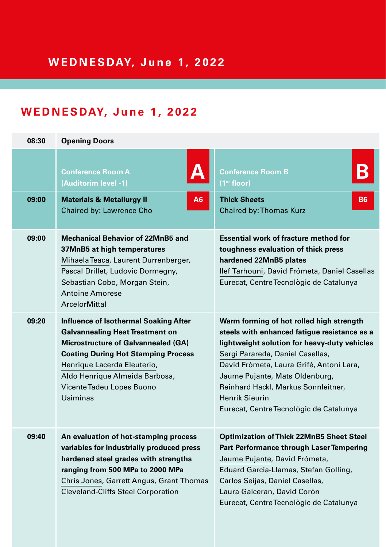| 08:30 | <b>Opening Doors</b>                                                                                                                                                                                                                                                                         |                                                                                                                                                                                                                                                                                                                                                                |
|-------|----------------------------------------------------------------------------------------------------------------------------------------------------------------------------------------------------------------------------------------------------------------------------------------------|----------------------------------------------------------------------------------------------------------------------------------------------------------------------------------------------------------------------------------------------------------------------------------------------------------------------------------------------------------------|
|       | <b>Conference Room A</b><br>(Auditorim level -1)                                                                                                                                                                                                                                             | <b>Conference Room B</b><br>(1 <sup>st</sup> floor)                                                                                                                                                                                                                                                                                                            |
| 09:00 | <b>Materials &amp; Metallurgy II</b><br>A <sub>6</sub><br>Chaired by: Lawrence Cho                                                                                                                                                                                                           | <b>Thick Sheets</b><br>B6<br><b>Chaired by: Thomas Kurz</b>                                                                                                                                                                                                                                                                                                    |
| 09:00 | <b>Mechanical Behavior of 22MnB5 and</b><br>37MnB5 at high temperatures<br>Mihaela Teaca, Laurent Durrenberger,<br>Pascal Drillet, Ludovic Dormegny,<br>Sebastian Cobo, Morgan Stein,<br>Antoine Amorese<br>ArcelorMittal                                                                    | <b>Essential work of fracture method for</b><br>toughness evaluation of thick press<br>hardened 22MnB5 plates<br>Ilef Tarhouni, David Frómeta, Daniel Casellas<br>Eurecat, Centre Tecnològic de Catalunya                                                                                                                                                      |
| 09:20 | <b>Influence of Isothermal Soaking After</b><br><b>Galvannealing Heat Treatment on</b><br><b>Microstructure of Galvannealed (GA)</b><br><b>Coating During Hot Stamping Process</b><br>Henrique Lacerda Eleuterio,<br>Aldo Henrique Almeida Barbosa,<br>Vicente Tadeu Lopes Buono<br>Usiminas | Warm forming of hot rolled high strength<br>steels with enhanced fatigue resistance as a<br>lightweight solution for heavy-duty vehicles<br>Sergi Parareda, Daniel Casellas,<br>David Frómeta, Laura Grifé, Antoni Lara,<br>Jaume Pujante, Mats Oldenburg,<br>Reinhard Hackl, Markus Sonnleitner,<br>Henrik Sieurin<br>Eurecat, Centre Tecnològic de Catalunya |
| 09:40 | An evaluation of hot-stamping process<br>variables for industrially produced press<br>hardened steel grades with strengths<br>ranging from 500 MPa to 2000 MPa<br>Chris Jones, Garrett Angus, Grant Thomas<br><b>Cleveland-Cliffs Steel Corporation</b>                                      | <b>Optimization of Thick 22MnB5 Sheet Steel</b><br>Part Performance through Laser Tempering<br>Jaume Pujante, David Frómeta,<br>Eduard Garcia-Llamas, Stefan Golling,<br>Carlos Seijas, Daniel Casellas,<br>Laura Galceran, David Corón<br>Eurecat, Centre Tecnològic de Catalunya                                                                             |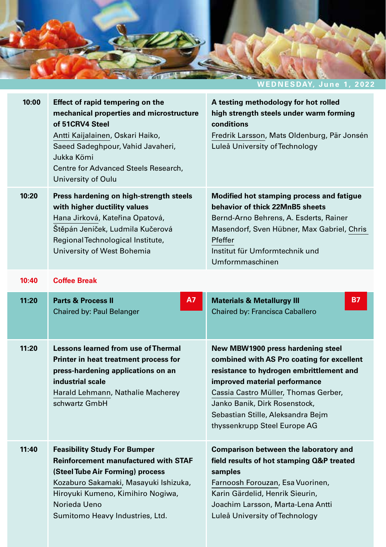

| 10:00 | Effect of rapid tempering on the<br>mechanical properties and microstructure<br>of 51CRV4 Steel<br>Antti Kaijalainen, Oskari Haiko,<br>Saeed Sadeghpour, Vahid Javaheri,<br>Jukka Kömi<br>Centre for Advanced Steels Research,<br>University of Oulu | A testing methodology for hot rolled<br>high strength steels under warm forming<br>conditions<br>Fredrik Larsson, Mats Oldenburg, Pär Jonsén<br>Luleå University of Technology                                                                                                                             |
|-------|------------------------------------------------------------------------------------------------------------------------------------------------------------------------------------------------------------------------------------------------------|------------------------------------------------------------------------------------------------------------------------------------------------------------------------------------------------------------------------------------------------------------------------------------------------------------|
| 10:20 | Press hardening on high-strength steels<br>with higher ductility values<br>Hana Jirková, Kateřina Opatová,<br>Štěpán Jeníček, Ludmila Kučerová<br>Regional Technological Institute,<br>University of West Bohemia                                    | Modified hot stamping process and fatigue<br>behavior of thick 22MnB5 sheets<br>Bernd-Arno Behrens, A. Esderts, Rainer<br>Masendorf, Sven Hübner, Max Gabriel, Chris<br>Pfeffer<br>Institut für Umformtechnik und<br>Umformmaschinen                                                                       |
| 10:40 | <b>Coffee Break</b>                                                                                                                                                                                                                                  |                                                                                                                                                                                                                                                                                                            |
| 11:20 | A7<br><b>Parts &amp; Process II</b><br>Chaired by: Paul Belanger                                                                                                                                                                                     | <b>B7</b><br><b>Materials &amp; Metallurgy III</b><br>Chaired by: Francisca Caballero                                                                                                                                                                                                                      |
|       |                                                                                                                                                                                                                                                      |                                                                                                                                                                                                                                                                                                            |
| 11:20 | <b>Lessons learned from use of Thermal</b><br>Printer in heat treatment process for<br>press-hardening applications on an<br>industrial scale<br>Harald Lehmann, Nathalie Macherey<br>schwartz GmbH                                                  | New MBW1900 press hardening steel<br>combined with AS Pro coating for excellent<br>resistance to hydrogen embrittlement and<br>improved material performance<br>Cassia Castro Müller, Thomas Gerber,<br>Janko Banik, Dirk Rosenstock,<br>Sebastian Stille, Aleksandra Bejm<br>thyssenkrupp Steel Europe AG |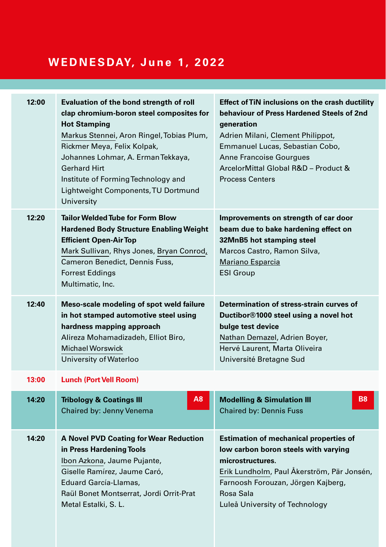| 12:00 | Evaluation of the bond strength of roll<br>clap chromium-boron steel composites for<br><b>Hot Stamping</b><br>Markus Stennei, Aron Ringel, Tobias Plum,<br>Rickmer Meya, Felix Kolpak,<br>Johannes Lohmar, A. Erman Tekkaya,<br><b>Gerhard Hirt</b><br>Institute of Forming Technology and<br>Lightweight Components, TU Dortmund<br>University | <b>Effect of TiN inclusions on the crash ductility</b><br>behaviour of Press Hardened Steels of 2nd<br><b>generation</b><br>Adrien Milani, Clement Philippot,<br>Emmanuel Lucas, Sebastian Cobo,<br><b>Anne Francoise Gourgues</b><br>ArcelorMittal Global R&D - Product &<br><b>Process Centers</b> |
|-------|-------------------------------------------------------------------------------------------------------------------------------------------------------------------------------------------------------------------------------------------------------------------------------------------------------------------------------------------------|------------------------------------------------------------------------------------------------------------------------------------------------------------------------------------------------------------------------------------------------------------------------------------------------------|
| 12:20 | <b>Tailor Welded Tube for Form Blow</b><br><b>Hardened Body Structure Enabling Weight</b><br><b>Efficient Open-Air Top</b><br>Mark Sullivan, Rhys Jones, Bryan Conrod,<br>Cameron Benedict, Dennis Fuss,<br><b>Forrest Eddings</b><br>Multimatic, Inc.                                                                                          | Improvements on strength of car door<br>beam due to bake hardening effect on<br>32MnB5 hot stamping steel<br>Marcos Castro, Ramon Silva,<br>Mariano Esparcia<br><b>ESI Group</b>                                                                                                                     |
| 12:40 | Meso-scale modeling of spot weld failure<br>in hot stamped automotive steel using<br>hardness mapping approach<br>Alireza Mohamadizadeh, Elliot Biro,<br><b>Michael Worswick</b><br>University of Waterloo                                                                                                                                      | Determination of stress-strain curves of<br>Ductibor®1000 steel using a novel hot<br>bulge test device<br>Nathan Demazel, Adrien Boyer,<br>Hervé Laurent, Marta Oliveira<br>Université Bretagne Sud                                                                                                  |
| 13:00 | <b>Lunch (Port Vell Room)</b>                                                                                                                                                                                                                                                                                                                   |                                                                                                                                                                                                                                                                                                      |
| 14:20 | A8<br><b>Tribology &amp; Coatings III</b><br>Chaired by: Jenny Venema                                                                                                                                                                                                                                                                           | <b>B8</b><br><b>Modelling &amp; Simulation III</b><br><b>Chaired by: Dennis Fuss</b>                                                                                                                                                                                                                 |
| 14:20 | A Novel PVD Coating for Wear Reduction<br>in Press Hardening Tools<br>Ibon Azkona, Jaume Pujante,<br>Giselle Ramírez, Jaume Caró,<br>Eduard García-Llamas,<br>Raül Bonet Montserrat, Jordi Orrit-Prat<br>Metal Estalki, S. L.                                                                                                                   | <b>Estimation of mechanical properties of</b><br>low carbon boron steels with varying<br>microstructures.<br>Erik Lundholm, Paul Åkerström, Pär Jonsén,<br>Farnoosh Forouzan, Jörgen Kajberg,<br>Rosa Sala<br>Luleå University of Technology                                                         |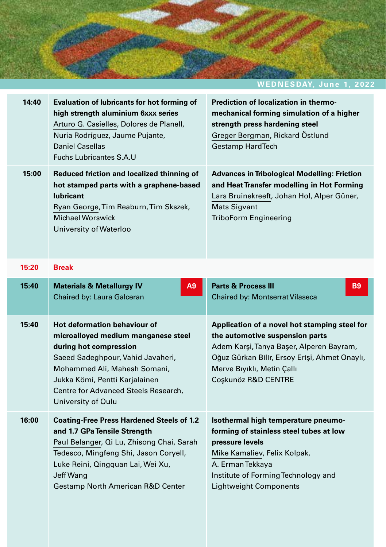

| 14:40 | Evaluation of lubricants for hot forming of<br>high strength aluminium 6xxx series<br>Arturo G. Casielles, Dolores de Planell,<br>Nuria Rodríguez, Jaume Pujante,<br><b>Daniel Casellas</b><br><b>Fuchs Lubricantes S.A.U</b>                                      | Prediction of localization in thermo-<br>mechanical forming simulation of a higher<br>strength press hardening steel<br>Greger Bergman, Rickard Östlund<br>Gestamp HardTech                                                        |
|-------|--------------------------------------------------------------------------------------------------------------------------------------------------------------------------------------------------------------------------------------------------------------------|------------------------------------------------------------------------------------------------------------------------------------------------------------------------------------------------------------------------------------|
| 15:00 | Reduced friction and localized thinning of<br>hot stamped parts with a graphene-based<br>lubricant<br>Ryan George, Tim Reaburn, Tim Skszek,<br><b>Michael Worswick</b><br>University of Waterloo                                                                   | <b>Advances in Tribological Modelling: Friction</b><br>and Heat Transfer modelling in Hot Forming<br>Lars Bruinekreeft, Johan Hol, Alper Güner,<br><b>Mats Sigvant</b><br><b>TriboForm Engineering</b>                             |
| 15:20 | <b>Break</b>                                                                                                                                                                                                                                                       |                                                                                                                                                                                                                                    |
| 15:40 | <b>Materials &amp; Metallurgy IV</b><br>A9<br>Chaired by: Laura Galceran                                                                                                                                                                                           | <b>Parts &amp; Process III</b><br>B9<br>Chaired by: Montserrat Vilaseca                                                                                                                                                            |
| 15:40 | Hot deformation behaviour of<br>microalloyed medium manganese steel<br>during hot compression<br>Saeed Sadeghpour, Vahid Javaheri,<br>Mohammed Ali, Mahesh Somani,<br>Jukka Kömi, Pentti Karjalainen<br>Centre for Advanced Steels Research,<br>University of Oulu | Application of a novel hot stamping steel for<br>the automotive suspension parts<br>Adem Karşi, Tanya Başer, Alperen Bayram,<br>Oğuz Gürkan Bilir, Ersoy Erişi, Ahmet Onaylı,<br>Merve Bıyıklı, Metin Çallı<br>Coşkunöz R&D CENTRE |
| 16:00 | <b>Coating-Free Press Hardened Steels of 1.2</b><br>and 1.7 GPa Tensile Strength<br>Paul Belanger, Qi Lu, Zhisong Chai, Sarah<br>Tedesco, Mingfeng Shi, Jason Coryell,<br>Luke Reini, Qingquan Lai, Wei Xu,<br>Jeff Wang<br>Gestamp North American R&D Center      | Isothermal high temperature pneumo-<br>forming of stainless steel tubes at low<br>pressure levels<br>Mike Kamaliev, Felix Kolpak,<br>A. Erman Tekkaya<br>Institute of Forming Technology and<br><b>Lightweight Components</b>      |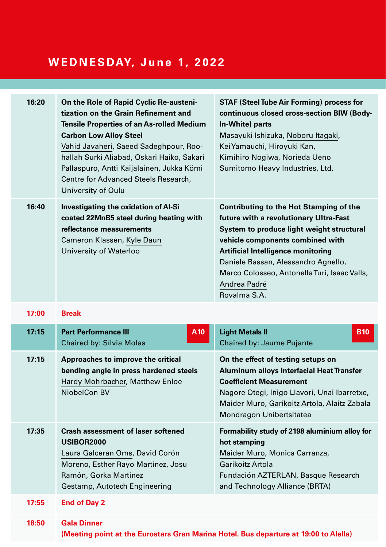| 16:20 | On the Role of Rapid Cyclic Re-austeni-<br>tization on the Grain Refinement and<br><b>Tensile Properties of an As-rolled Medium</b><br><b>Carbon Low Alloy Steel</b><br>Vahid Javaheri, Saeed Sadeghpour, Roo-<br>hallah Surki Aliabad, Oskari Haiko, Sakari<br>Pallaspuro, Antti Kaijalainen, Jukka Kömi<br>Centre for Advanced Steels Research,<br>University of Oulu | STAF (Steel Tube Air Forming) process for<br>continuous closed cross-section BIW (Body-<br>In-White) parts<br>Masayuki Ishizuka, Noboru Itagaki,<br>Kei Yamauchi, Hiroyuki Kan,<br>Kimihiro Nogiwa, Norieda Ueno<br>Sumitomo Heavy Industries, Ltd.                                                                             |
|-------|-------------------------------------------------------------------------------------------------------------------------------------------------------------------------------------------------------------------------------------------------------------------------------------------------------------------------------------------------------------------------|---------------------------------------------------------------------------------------------------------------------------------------------------------------------------------------------------------------------------------------------------------------------------------------------------------------------------------|
| 16:40 | <b>Investigating the oxidation of AI-Si</b><br>coated 22MnB5 steel during heating with<br>reflectance measurements<br>Cameron Klassen, Kyle Daun<br>University of Waterloo                                                                                                                                                                                              | Contributing to the Hot Stamping of the<br>future with a revolutionary Ultra-Fast<br>System to produce light weight structural<br>vehicle components combined with<br>Artificial Intelligence monitoring<br>Daniele Bassan, Alessandro Agnello,<br>Marco Colosseo, Antonella Turi, Isaac Valls,<br>Andrea Padré<br>Rovalma S.A. |
| 17:00 | <b>Break</b>                                                                                                                                                                                                                                                                                                                                                            |                                                                                                                                                                                                                                                                                                                                 |
| 17:15 | <b>Part Performance III</b><br>A10<br><b>Chaired by: Sílvia Molas</b>                                                                                                                                                                                                                                                                                                   | <b>Light Metals II</b><br><b>B10</b><br>Chaired by: Jaume Pujante                                                                                                                                                                                                                                                               |
| 17:15 | Approaches to improve the critical<br>bending angle in press hardened steels<br>Hardy Mohrbacher, Matthew Enloe<br>NiobelCon BV                                                                                                                                                                                                                                         | On the effect of testing setups on<br>Aluminum alloys Interfacial Heat Transfer<br><b>Coefficient Measurement</b><br>Nagore Otegi, Iñigo Llavori, Unai Ibarretxe,<br>Maider Muro, Garikoitz Artola, Alaitz Zabala<br>Mondragon Unibertsitatea                                                                                   |
| 17:35 | <b>Crash assessment of laser softened</b><br><b>USIBOR2000</b><br>Laura Galceran Oms, David Corón<br>Moreno, Esther Rayo Martínez, Josu<br>Ramón, Gorka Martinez<br>Gestamp, Autotech Engineering                                                                                                                                                                       | Formability study of 2198 aluminium alloy for<br>hot stamping<br>Maider Muro, Monica Carranza,<br>Garikoitz Artola<br>Fundación AZTERLAN, Basque Research<br>and Technology Alliance (BRTA)                                                                                                                                     |
| 17:55 | <b>End of Day 2</b>                                                                                                                                                                                                                                                                                                                                                     |                                                                                                                                                                                                                                                                                                                                 |
| 18:50 | <b>Gala Dinner</b><br>(Meeting point at the Eurostars Gran Marina Hotel. Bus departure at 19:00 to Alella)                                                                                                                                                                                                                                                              |                                                                                                                                                                                                                                                                                                                                 |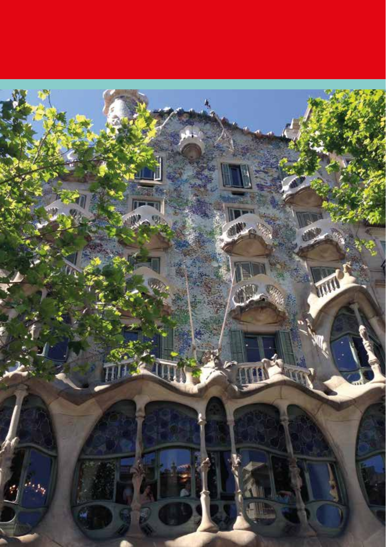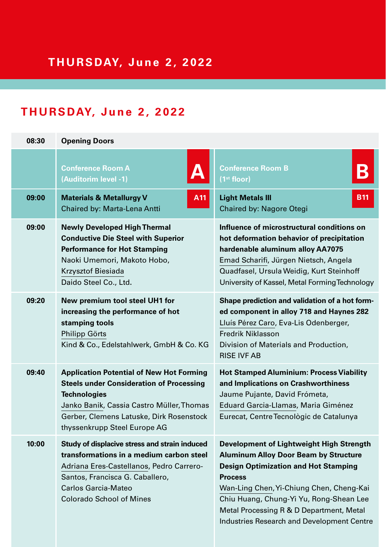# **THURSDAY, June 2, 2022**

# **THURSDAY, June 2, 2022**

| 08:30 | <b>Opening Doors</b>                                                                                                                                                                                                                               |                                                                                                                                                                                                                                                                                                                                            |  |
|-------|----------------------------------------------------------------------------------------------------------------------------------------------------------------------------------------------------------------------------------------------------|--------------------------------------------------------------------------------------------------------------------------------------------------------------------------------------------------------------------------------------------------------------------------------------------------------------------------------------------|--|
|       | <b>Conference Room A</b><br>(Auditorim level -1)                                                                                                                                                                                                   | <b>Conference Room B</b><br>(1 <sup>st</sup> floor)                                                                                                                                                                                                                                                                                        |  |
| 09:00 | A11<br><b>Materials &amp; Metallurgy V</b><br>Chaired by: Marta-Lena Antti                                                                                                                                                                         | <b>B11</b><br><b>Light Metals III</b><br>Chaired by: Nagore Otegi                                                                                                                                                                                                                                                                          |  |
| 09:00 | <b>Newly Developed High Thermal</b><br><b>Conductive Die Steel with Superior</b><br><b>Performance for Hot Stamping</b><br>Naoki Umemori, Makoto Hobo,<br>Krzysztof Biesiada<br>Daido Steel Co., Ltd.                                              | Influence of microstructural conditions on<br>hot deformation behavior of precipitation<br>hardenable aluminum alloy AA7075<br>Emad Scharifi, Jürgen Nietsch, Angela<br>Quadfasel, Ursula Weidig, Kurt Steinhoff<br>University of Kassel, Metal Forming Technology                                                                         |  |
| 09:20 | New premium tool steel UH1 for<br>increasing the performance of hot<br>stamping tools<br>Philipp Görts<br>Kind & Co., Edelstahlwerk, GmbH & Co. KG                                                                                                 | Shape prediction and validation of a hot form-<br>ed component in alloy 718 and Haynes 282<br>Lluís Pérez Caro, Eva-Lis Odenberger,<br>Fredrik Niklasson<br>Division of Materials and Production,<br><b>RISE IVF AB</b>                                                                                                                    |  |
| 09:40 | <b>Application Potential of New Hot Forming</b><br><b>Steels under Consideration of Processing</b><br><b>Technologies</b><br>Janko Banik, Cassia Castro Müller, Thomas<br>Gerber, Clemens Latuske, Dirk Rosenstock<br>thyssenkrupp Steel Europe AG | <b>Hot Stamped Aluminium: Process Viability</b><br>and Implications on Crashworthiness<br>Jaume Pujante, David Frómeta,<br>Eduard Garcia-Llamas, Maria Giménez<br>Eurecat, Centre Tecnològic de Catalunya                                                                                                                                  |  |
| 10:00 | Study of displacive stress and strain induced<br>transformations in a medium carbon steel<br>Adriana Eres-Castellanos, Pedro Carrero-<br>Santos, Francisca G. Caballero,<br>Carlos Garcia-Mateo<br><b>Colorado School of Mines</b>                 | Development of Lightweight High Strength<br><b>Aluminum Alloy Door Beam by Structure</b><br><b>Design Optimization and Hot Stamping</b><br><b>Process</b><br>Wan-Ling Chen, Yi-Chiung Chen, Cheng-Kai<br>Chiu Huang, Chung-Yi Yu, Rong-Shean Lee<br>Metal Processing R & D Department, Metal<br>Industries Research and Development Centre |  |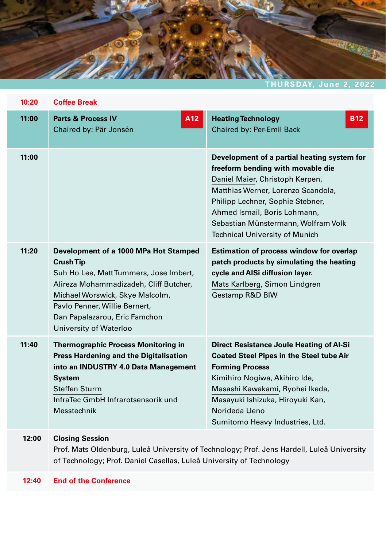**Telesting**  $\alpha$  $\overline{0}$ 

**THURSDAY, June 2, 2022**

| 10:20 | <b>Coffee Break</b>                                                                                                                                                                                                                                                          |                                                                                                                                                                                                                                                                                                               |  |
|-------|------------------------------------------------------------------------------------------------------------------------------------------------------------------------------------------------------------------------------------------------------------------------------|---------------------------------------------------------------------------------------------------------------------------------------------------------------------------------------------------------------------------------------------------------------------------------------------------------------|--|
| 11:00 | <b>Parts &amp; Process IV</b><br>A12<br>Chaired by: Pär Jonsén                                                                                                                                                                                                               | <b>Heating Technology</b><br><b>B12</b><br>Chaired by: Per-Emil Back                                                                                                                                                                                                                                          |  |
| 11:00 |                                                                                                                                                                                                                                                                              | Development of a partial heating system for<br>freeform bending with movable die<br>Daniel Maier, Christoph Kerpen,<br>Matthias Werner, Lorenzo Scandola,<br>Philipp Lechner, Sophie Stebner,<br>Ahmed Ismail, Boris Lohmann,<br>Sebastian Münstermann, Wolfram Volk<br><b>Technical University of Munich</b> |  |
| 11:20 | Development of a 1000 MPa Hot Stamped<br><b>Crush Tip</b><br>Suh Ho Lee, Matt Tummers, Jose Imbert,<br>Alireza Mohammadizadeh, Cliff Butcher,<br>Michael Worswick, Skye Malcolm,<br>Pavlo Penner, Willie Bernert,<br>Dan Papalazarou, Eric Famchon<br>University of Waterloo | <b>Estimation of process window for overlap</b><br>patch products by simulating the heating<br>cycle and AISi diffusion layer.<br>Mats Karlberg, Simon Lindgren<br>Gestamp R&D BIW                                                                                                                            |  |
| 11:40 | <b>Thermographic Process Monitoring in</b><br><b>Press Hardening and the Digitalisation</b><br>into an INDUSTRY 4.0 Data Management<br><b>System</b><br><b>Steffen Sturm</b><br>InfraTec GmbH Infrarotsensorik und<br>Messtechnik                                            | <b>Direct Resistance Joule Heating of Al-Si</b><br><b>Coated Steel Pipes in the Steel tube Air</b><br><b>Forming Process</b><br>Kimihiro Nogiwa, Akihiro Ide,<br>Masashi Kawakami, Ryohei Ikeda,<br>Masayuki Ishizuka, Hiroyuki Kan,<br>Norideda Ueno<br>Sumitomo Heavy Industries, Ltd.                      |  |
| 12:00 | <b>Closing Session</b><br>Prof. Mats Oldenburg, Luleå University of Technology; Prof. Jens Hardell, Luleå University<br>of Technology; Prof. Daniel Casellas, Luleå University of Technology                                                                                 |                                                                                                                                                                                                                                                                                                               |  |
|       |                                                                                                                                                                                                                                                                              |                                                                                                                                                                                                                                                                                                               |  |

**12:40 End of the Conference**